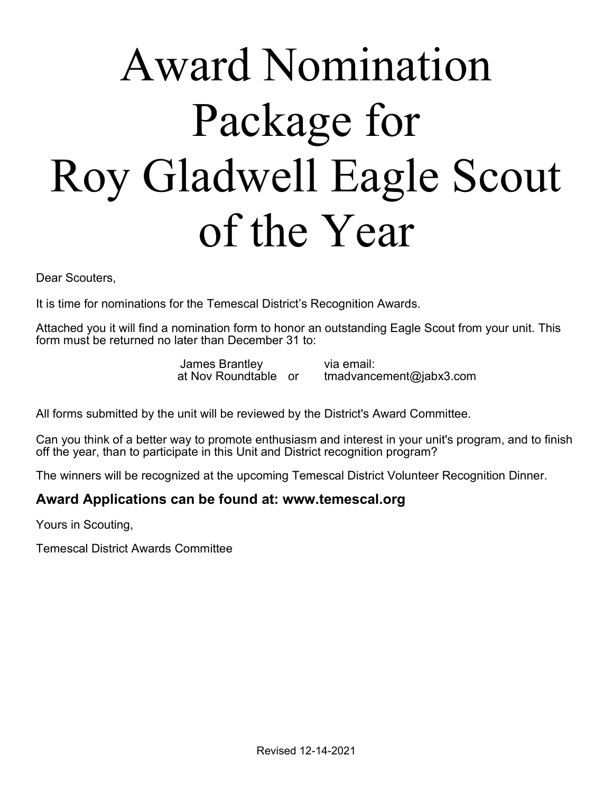## Award Nomination Package for Roy Gladwell Eagle Scout of the Year

Dear Scouters,

It is time for nominations for the Temescal District's Recognition Awards.

Attached you it will find a nomination form to honor an outstanding Eagle Scout from your unit. This form must be returned no later than December 31 to:

James Brantley via email:<br>at Nov Roundtable or tmadvanc

 $t$  madvancement@jabx3.com

All forms submitted by the unit will be reviewed by the District's Award Committee.

Can you think of a better way to promote enthusiasm and interest in your unit's program, and to finish off the year, than to participate in this Unit and District recognition program?

The winners will be recognized at the upcoming Temescal District Volunteer Recognition Dinner.

## Award Applications can be found at: www.temescal.org

Yours in Scouting,

Temescal District Awards Committee